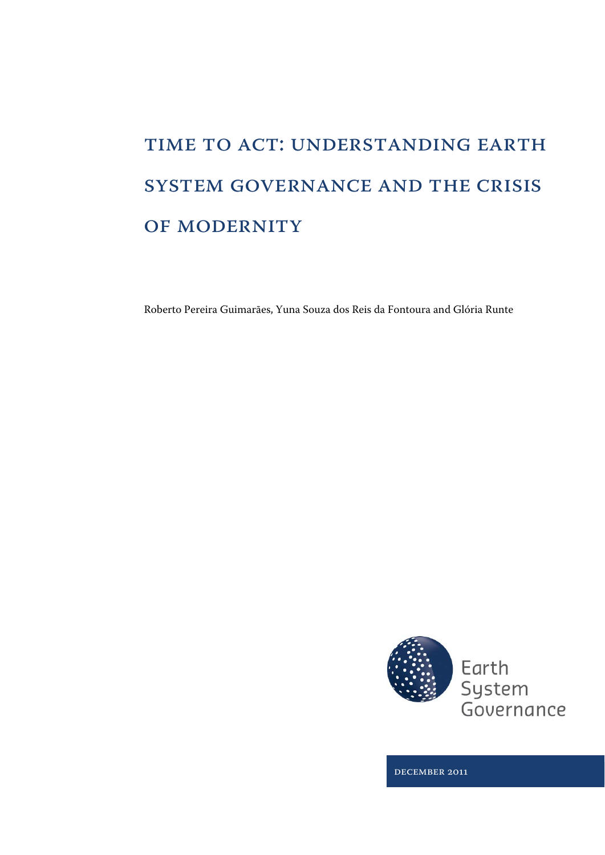# TIME TO ACT: UNDERSTANDING EARTH system governance and the crisis OF MODERNITY

Roberto Pereira Guimarães, Yuna Souza dos Reis da Fontoura and Glória Runte



December 2011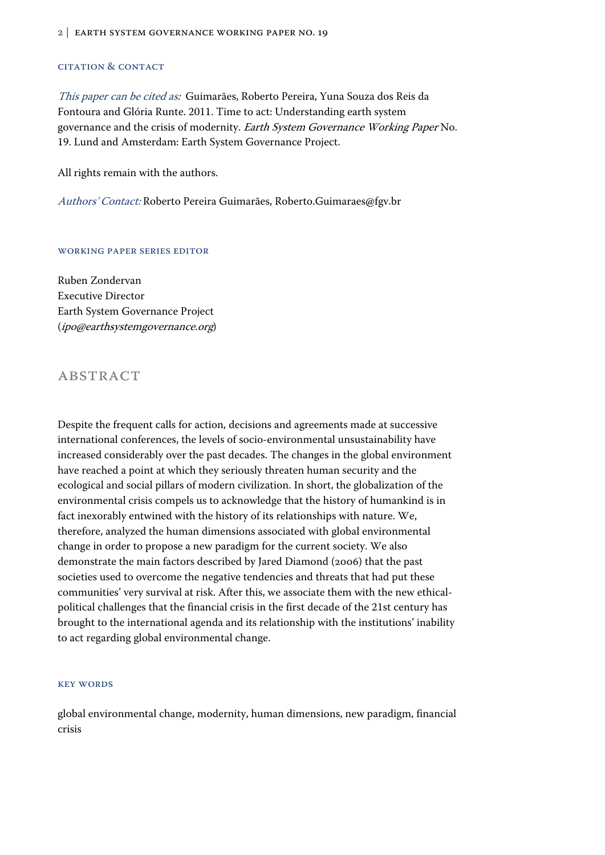#### 2 | EARTH SYSTEM GOVERNANCE WORKING PAPER NO. 19

#### Citation & Contact

This paper can be cited as: Guimarães, Roberto Pereira, Yuna Souza dos Reis da Fontoura and Glória Runte. 2011. Time to act: Understanding earth system governance and the crisis of modernity. Earth System Governance Working Paper No. 19. Lund and Amsterdam: Earth System Governance Project.

All rights remain with the authors.

Authors' Contact: Roberto Pereira Guimarães, Roberto.Guimaraes@fgv.br

#### Working Paper Series Editor

Ruben Zondervan Executive Director Earth System Governance Project (ipo@earthsystemgovernance.org)

## **ABSTRACT**

Despite the frequent calls for action, decisions and agreements made at successive international conferences, the levels of socio-environmental unsustainability have increased considerably over the past decades. The changes in the global environment have reached a point at which they seriously threaten human security and the ecological and social pillars of modern civilization. In short, the globalization of the environmental crisis compels us to acknowledge that the history of humankind is in fact inexorably entwined with the history of its relationships with nature. We, therefore, analyzed the human dimensions associated with global environmental change in order to propose a new paradigm for the current society. We also demonstrate the main factors described by Jared Diamond (2006) that the past societies used to overcome the negative tendencies and threats that had put these communities' very survival at risk. After this, we associate them with the new ethicalpolitical challenges that the financial crisis in the first decade of the 21st century has brought to the international agenda and its relationship with the institutions' inability to act regarding global environmental change.

#### Key Words

global environmental change, modernity, human dimensions, new paradigm, financial crisis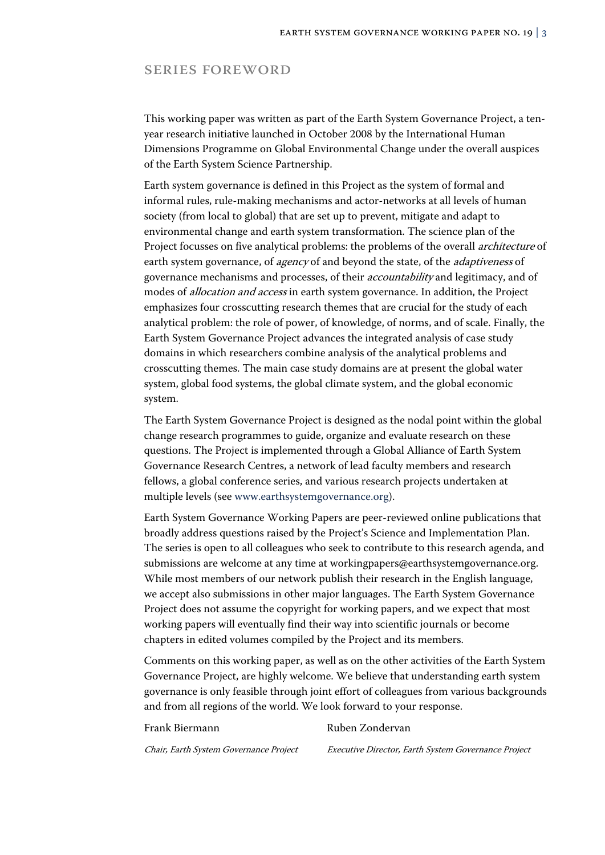### Series Foreword

This working paper was written as part of the Earth System Governance Project, a tenyear research initiative launched in October 2008 by the International Human Dimensions Programme on Global Environmental Change under the overall auspices of the Earth System Science Partnership.

Earth system governance is defined in this Project as the system of formal and informal rules, rule-making mechanisms and actor-networks at all levels of human society (from local to global) that are set up to prevent, mitigate and adapt to environmental change and earth system transformation. The science plan of the Project focusses on five analytical problems: the problems of the overall *architecture* of earth system governance, of *agency* of and beyond the state, of the *adaptiveness* of governance mechanisms and processes, of their accountability and legitimacy, and of modes of allocation and access in earth system governance. In addition, the Project emphasizes four crosscutting research themes that are crucial for the study of each analytical problem: the role of power, of knowledge, of norms, and of scale. Finally, the Earth System Governance Project advances the integrated analysis of case study domains in which researchers combine analysis of the analytical problems and crosscutting themes. The main case study domains are at present the global water system, global food systems, the global climate system, and the global economic system.

The Earth System Governance Project is designed as the nodal point within the global change research programmes to guide, organize and evaluate research on these questions. The Project is implemented through a Global Alliance of Earth System Governance Research Centres, a network of lead faculty members and research fellows, a global conference series, and various research projects undertaken at multiple levels (see www.earthsystemgovernance.org).

Earth System Governance Working Papers are peer-reviewed online publications that broadly address questions raised by the Project's Science and Implementation Plan. The series is open to all colleagues who seek to contribute to this research agenda, and submissions are welcome at any time at workingpapers@earthsystemgovernance.org. While most members of our network publish their research in the English language, we accept also submissions in other major languages. The Earth System Governance Project does not assume the copyright for working papers, and we expect that most working papers will eventually find their way into scientific journals or become chapters in edited volumes compiled by the Project and its members.

Comments on this working paper, as well as on the other activities of the Earth System Governance Project, are highly welcome. We believe that understanding earth system governance is only feasible through joint effort of colleagues from various backgrounds and from all regions of the world. We look forward to your response.

#### Frank Biermann Ruben Zondervan

Chair, Earth System Governance Project Executive Director, Earth System Governance Project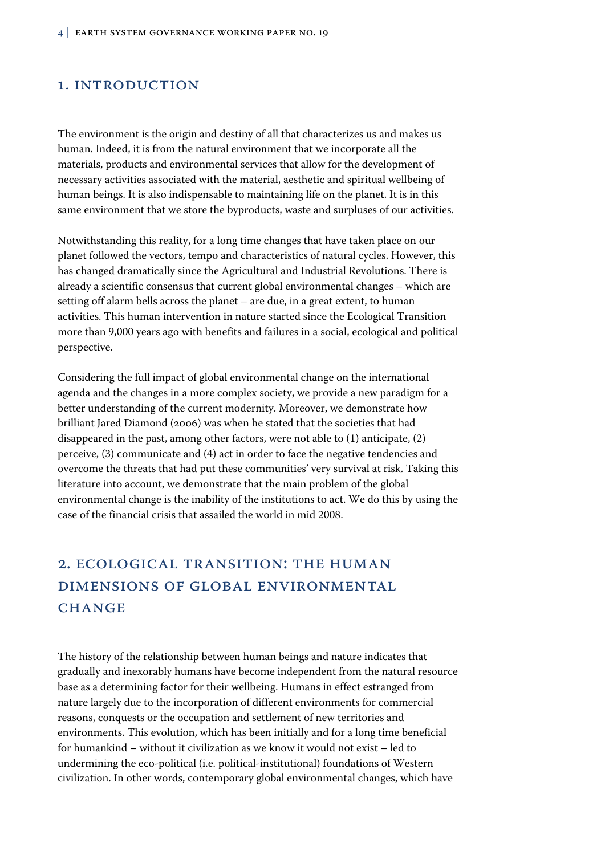## 1. INTRODUCTION

The environment is the origin and destiny of all that characterizes us and makes us human. Indeed, it is from the natural environment that we incorporate all the materials, products and environmental services that allow for the development of necessary activities associated with the material, aesthetic and spiritual wellbeing of human beings. It is also indispensable to maintaining life on the planet. It is in this same environment that we store the byproducts, waste and surpluses of our activities.

Notwithstanding this reality, for a long time changes that have taken place on our planet followed the vectors, tempo and characteristics of natural cycles. However, this has changed dramatically since the Agricultural and Industrial Revolutions. There is already a scientific consensus that current global environmental changes – which are setting off alarm bells across the planet – are due, in a great extent, to human activities. This human intervention in nature started since the Ecological Transition more than 9,000 years ago with benefits and failures in a social, ecological and political perspective.

Considering the full impact of global environmental change on the international agenda and the changes in a more complex society, we provide a new paradigm for a better understanding of the current modernity. Moreover, we demonstrate how brilliant Jared Diamond (2006) was when he stated that the societies that had disappeared in the past, among other factors, were not able to (1) anticipate, (2) perceive, (3) communicate and (4) act in order to face the negative tendencies and overcome the threats that had put these communities' very survival at risk. Taking this literature into account, we demonstrate that the main problem of the global environmental change is the inability of the institutions to act. We do this by using the case of the financial crisis that assailed the world in mid 2008.

# 2. ECOLOGICAL TRANSITION: THE HUMAN DIMENSIONS OF GLOBAL ENVIRONMENTAL **CHANGE**

The history of the relationship between human beings and nature indicates that gradually and inexorably humans have become independent from the natural resource base as a determining factor for their wellbeing. Humans in effect estranged from nature largely due to the incorporation of different environments for commercial reasons, conquests or the occupation and settlement of new territories and environments. This evolution, which has been initially and for a long time beneficial for humankind – without it civilization as we know it would not exist – led to undermining the eco-political (i.e. political-institutional) foundations of Western civilization. In other words, contemporary global environmental changes, which have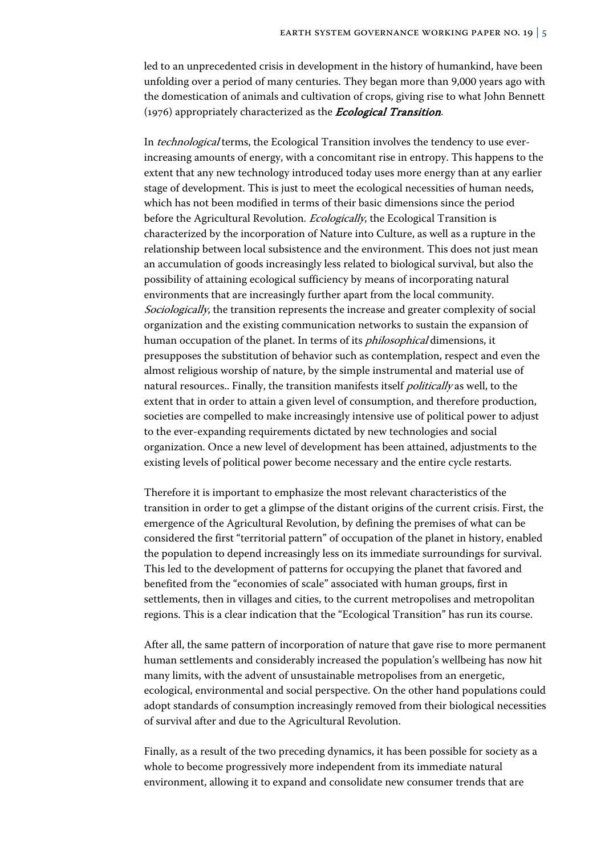led to an unprecedented crisis in development in the history of humankind, have been unfolding over a period of many centuries. They began more than 9,000 years ago with the domestication of animals and cultivation of crops, giving rise to what John Bennett (1976) appropriately characterized as the *Ecological Transition*.

In technological terms, the Ecological Transition involves the tendency to use everincreasing amounts of energy, with a concomitant rise in entropy. This happens to the extent that any new technology introduced today uses more energy than at any earlier stage of development. This is just to meet the ecological necessities of human needs, which has not been modified in terms of their basic dimensions since the period before the Agricultural Revolution. *Ecologically*, the Ecological Transition is characterized by the incorporation of Nature into Culture, as well as a rupture in the relationship between local subsistence and the environment. This does not just mean an accumulation of goods increasingly less related to biological survival, but also the possibility of attaining ecological sufficiency by means of incorporating natural environments that are increasingly further apart from the local community. Sociologically, the transition represents the increase and greater complexity of social organization and the existing communication networks to sustain the expansion of human occupation of the planet. In terms of its philosophical dimensions, it presupposes the substitution of behavior such as contemplation, respect and even the almost religious worship of nature, by the simple instrumental and material use of natural resources.. Finally, the transition manifests itself *politically* as well, to the extent that in order to attain a given level of consumption, and therefore production, societies are compelled to make increasingly intensive use of political power to adjust to the ever-expanding requirements dictated by new technologies and social organization. Once a new level of development has been attained, adjustments to the existing levels of political power become necessary and the entire cycle restarts.

Therefore it is important to emphasize the most relevant characteristics of the transition in order to get a glimpse of the distant origins of the current crisis. First, the emergence of the Agricultural Revolution, by defining the premises of what can be considered the first "territorial pattern" of occupation of the planet in history, enabled the population to depend increasingly less on its immediate surroundings for survival. This led to the development of patterns for occupying the planet that favored and benefited from the "economies of scale" associated with human groups, first in settlements, then in villages and cities, to the current metropolises and metropolitan regions. This is a clear indication that the "Ecological Transition" has run its course.

After all, the same pattern of incorporation of nature that gave rise to more permanent human settlements and considerably increased the population's wellbeing has now hit many limits, with the advent of unsustainable metropolises from an energetic, ecological, environmental and social perspective. On the other hand populations could adopt standards of consumption increasingly removed from their biological necessities of survival after and due to the Agricultural Revolution.

Finally, as a result of the two preceding dynamics, it has been possible for society as a whole to become progressively more independent from its immediate natural environment, allowing it to expand and consolidate new consumer trends that are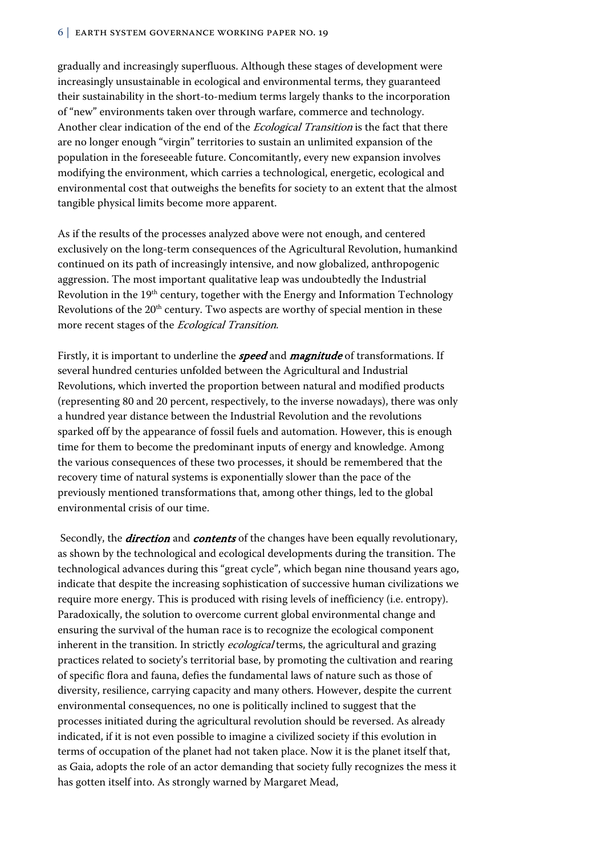gradually and increasingly superfluous. Although these stages of development were increasingly unsustainable in ecological and environmental terms, they guaranteed their sustainability in the short-to-medium terms largely thanks to the incorporation of "new" environments taken over through warfare, commerce and technology. Another clear indication of the end of the Ecological Transition is the fact that there are no longer enough "virgin" territories to sustain an unlimited expansion of the population in the foreseeable future. Concomitantly, every new expansion involves modifying the environment, which carries a technological, energetic, ecological and environmental cost that outweighs the benefits for society to an extent that the almost tangible physical limits become more apparent.

As if the results of the processes analyzed above were not enough, and centered exclusively on the long-term consequences of the Agricultural Revolution, humankind continued on its path of increasingly intensive, and now globalized, anthropogenic aggression. The most important qualitative leap was undoubtedly the Industrial Revolution in the 19th century, together with the Energy and Information Technology Revolutions of the 20<sup>th</sup> century. Two aspects are worthy of special mention in these more recent stages of the Ecological Transition.

Firstly, it is important to underline the **speed** and **magnitude** of transformations. If several hundred centuries unfolded between the Agricultural and Industrial Revolutions, which inverted the proportion between natural and modified products (representing 80 and 20 percent, respectively, to the inverse nowadays), there was only a hundred year distance between the Industrial Revolution and the revolutions sparked off by the appearance of fossil fuels and automation. However, this is enough time for them to become the predominant inputs of energy and knowledge. Among the various consequences of these two processes, it should be remembered that the recovery time of natural systems is exponentially slower than the pace of the previously mentioned transformations that, among other things, led to the global environmental crisis of our time.

Secondly, the *direction* and *contents* of the changes have been equally revolutionary, as shown by the technological and ecological developments during the transition. The technological advances during this "great cycle", which began nine thousand years ago, indicate that despite the increasing sophistication of successive human civilizations we require more energy. This is produced with rising levels of inefficiency (i.e. entropy). Paradoxically, the solution to overcome current global environmental change and ensuring the survival of the human race is to recognize the ecological component inherent in the transition. In strictly *ecological* terms, the agricultural and grazing practices related to society's territorial base, by promoting the cultivation and rearing of specific flora and fauna, defies the fundamental laws of nature such as those of diversity, resilience, carrying capacity and many others. However, despite the current environmental consequences, no one is politically inclined to suggest that the processes initiated during the agricultural revolution should be reversed. As already indicated, if it is not even possible to imagine a civilized society if this evolution in terms of occupation of the planet had not taken place. Now it is the planet itself that, as Gaia, adopts the role of an actor demanding that society fully recognizes the mess it has gotten itself into. As strongly warned by Margaret Mead,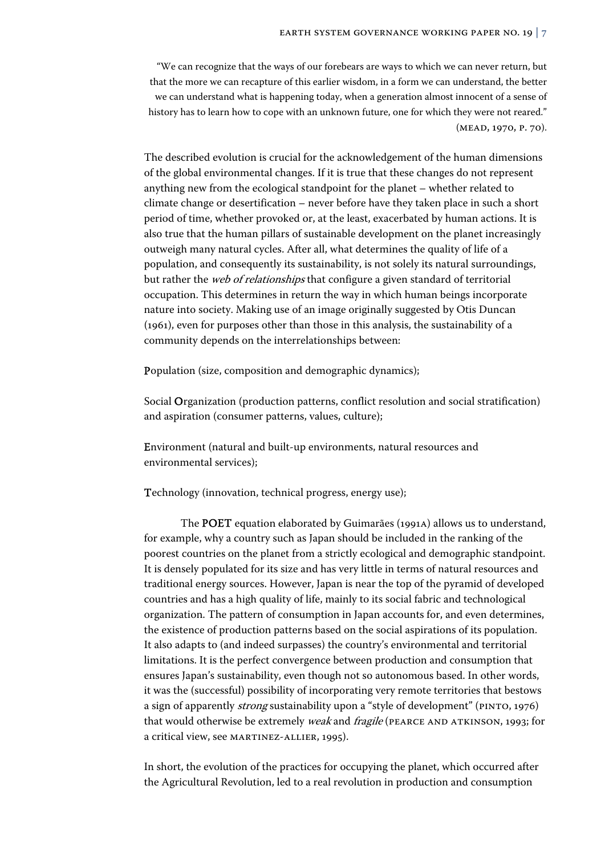"We can recognize that the ways of our forebears are ways to which we can never return, but that the more we can recapture of this earlier wisdom, in a form we can understand, the better we can understand what is happening today, when a generation almost innocent of a sense of history has to learn how to cope with an unknown future, one for which they were not reared." (Mead, 1970, p. 70).

The described evolution is crucial for the acknowledgement of the human dimensions of the global environmental changes. If it is true that these changes do not represent anything new from the ecological standpoint for the planet – whether related to climate change or desertification – never before have they taken place in such a short period of time, whether provoked or, at the least, exacerbated by human actions. It is also true that the human pillars of sustainable development on the planet increasingly outweigh many natural cycles. After all, what determines the quality of life of a population, and consequently its sustainability, is not solely its natural surroundings, but rather the *web of relationships* that configure a given standard of territorial occupation. This determines in return the way in which human beings incorporate nature into society. Making use of an image originally suggested by Otis Duncan (1961), even for purposes other than those in this analysis, the sustainability of a community depends on the interrelationships between:

Population (size, composition and demographic dynamics);

Social Organization (production patterns, conflict resolution and social stratification) and aspiration (consumer patterns, values, culture);

Environment (natural and built-up environments, natural resources and environmental services);

Technology (innovation, technical progress, energy use);

 The POET equation elaborated by Guimarães (1991a) allows us to understand, for example, why a country such as Japan should be included in the ranking of the poorest countries on the planet from a strictly ecological and demographic standpoint. It is densely populated for its size and has very little in terms of natural resources and traditional energy sources. However, Japan is near the top of the pyramid of developed countries and has a high quality of life, mainly to its social fabric and technological organization. The pattern of consumption in Japan accounts for, and even determines, the existence of production patterns based on the social aspirations of its population. It also adapts to (and indeed surpasses) the country's environmental and territorial limitations. It is the perfect convergence between production and consumption that ensures Japan's sustainability, even though not so autonomous based. In other words, it was the (successful) possibility of incorporating very remote territories that bestows a sign of apparently *strong* sustainability upon a "style of development" (PINTO, 1976) that would otherwise be extremely *weak* and *fragile* (PEARCE AND ATKINSON, 1993; for a critical view, see Martinez-Allier, 1995).

In short, the evolution of the practices for occupying the planet, which occurred after the Agricultural Revolution, led to a real revolution in production and consumption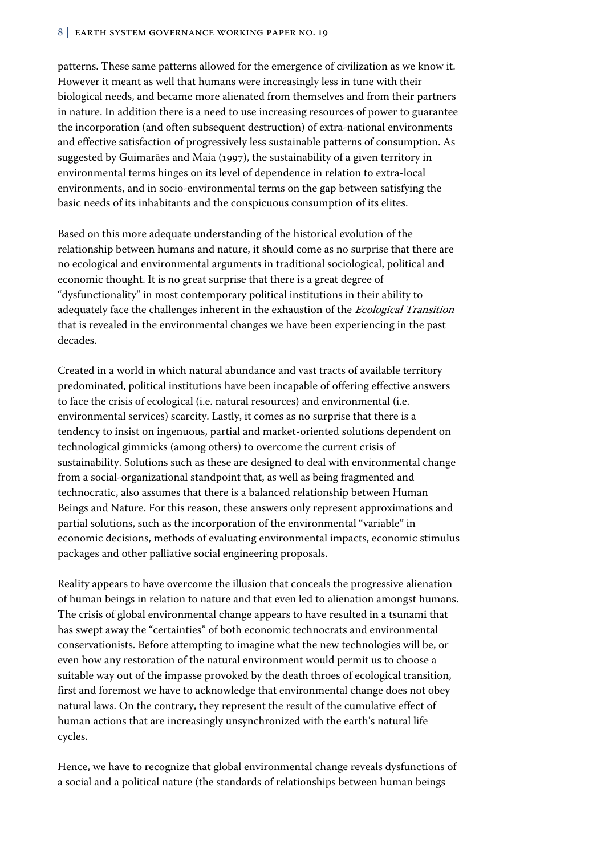patterns. These same patterns allowed for the emergence of civilization as we know it. However it meant as well that humans were increasingly less in tune with their biological needs, and became more alienated from themselves and from their partners in nature. In addition there is a need to use increasing resources of power to guarantee the incorporation (and often subsequent destruction) of extra-national environments and effective satisfaction of progressively less sustainable patterns of consumption. As suggested by Guimarães and Maia (1997), the sustainability of a given territory in environmental terms hinges on its level of dependence in relation to extra-local environments, and in socio-environmental terms on the gap between satisfying the basic needs of its inhabitants and the conspicuous consumption of its elites.

Based on this more adequate understanding of the historical evolution of the relationship between humans and nature, it should come as no surprise that there are no ecological and environmental arguments in traditional sociological, political and economic thought. It is no great surprise that there is a great degree of "dysfunctionality" in most contemporary political institutions in their ability to adequately face the challenges inherent in the exhaustion of the Ecological Transition that is revealed in the environmental changes we have been experiencing in the past decades.

Created in a world in which natural abundance and vast tracts of available territory predominated, political institutions have been incapable of offering effective answers to face the crisis of ecological (i.e. natural resources) and environmental (i.e. environmental services) scarcity. Lastly, it comes as no surprise that there is a tendency to insist on ingenuous, partial and market-oriented solutions dependent on technological gimmicks (among others) to overcome the current crisis of sustainability. Solutions such as these are designed to deal with environmental change from a social-organizational standpoint that, as well as being fragmented and technocratic, also assumes that there is a balanced relationship between Human Beings and Nature. For this reason, these answers only represent approximations and partial solutions, such as the incorporation of the environmental "variable" in economic decisions, methods of evaluating environmental impacts, economic stimulus packages and other palliative social engineering proposals.

Reality appears to have overcome the illusion that conceals the progressive alienation of human beings in relation to nature and that even led to alienation amongst humans. The crisis of global environmental change appears to have resulted in a tsunami that has swept away the "certainties" of both economic technocrats and environmental conservationists. Before attempting to imagine what the new technologies will be, or even how any restoration of the natural environment would permit us to choose a suitable way out of the impasse provoked by the death throes of ecological transition, first and foremost we have to acknowledge that environmental change does not obey natural laws. On the contrary, they represent the result of the cumulative effect of human actions that are increasingly unsynchronized with the earth's natural life cycles.

Hence, we have to recognize that global environmental change reveals dysfunctions of a social and a political nature (the standards of relationships between human beings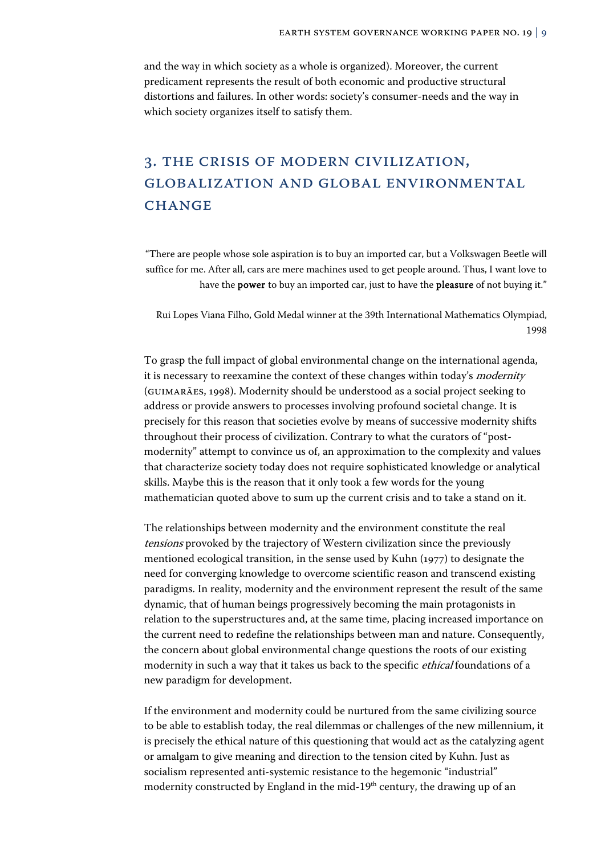and the way in which society as a whole is organized). Moreover, the current predicament represents the result of both economic and productive structural distortions and failures. In other words: society's consumer-needs and the way in which society organizes itself to satisfy them.

# 3. THE CRISIS OF MODERN CIVILIZATION, GLOBALIZATION AND GLOBAL ENVIRONMENTAL **CHANGE**

"There are people whose sole aspiration is to buy an imported car, but a Volkswagen Beetle will suffice for me. After all, cars are mere machines used to get people around. Thus, I want love to have the **power** to buy an imported car, just to have the **pleasure** of not buying it."

Rui Lopes Viana Filho, Gold Medal winner at the 39th International Mathematics Olympiad, 1998

To grasp the full impact of global environmental change on the international agenda, it is necessary to reexamine the context of these changes within today's *modernity* (GUIMARÃES, 1998). Modernity should be understood as a social project seeking to address or provide answers to processes involving profound societal change. It is precisely for this reason that societies evolve by means of successive modernity shifts throughout their process of civilization. Contrary to what the curators of "postmodernity" attempt to convince us of, an approximation to the complexity and values that characterize society today does not require sophisticated knowledge or analytical skills. Maybe this is the reason that it only took a few words for the young mathematician quoted above to sum up the current crisis and to take a stand on it.

The relationships between modernity and the environment constitute the real tensions provoked by the trajectory of Western civilization since the previously mentioned ecological transition, in the sense used by Kuhn (1977) to designate the need for converging knowledge to overcome scientific reason and transcend existing paradigms. In reality, modernity and the environment represent the result of the same dynamic, that of human beings progressively becoming the main protagonists in relation to the superstructures and, at the same time, placing increased importance on the current need to redefine the relationships between man and nature. Consequently, the concern about global environmental change questions the roots of our existing modernity in such a way that it takes us back to the specific ethical foundations of a new paradigm for development.

If the environment and modernity could be nurtured from the same civilizing source to be able to establish today, the real dilemmas or challenges of the new millennium, it is precisely the ethical nature of this questioning that would act as the catalyzing agent or amalgam to give meaning and direction to the tension cited by Kuhn. Just as socialism represented anti-systemic resistance to the hegemonic "industrial" modernity constructed by England in the mid-19<sup>th</sup> century, the drawing up of an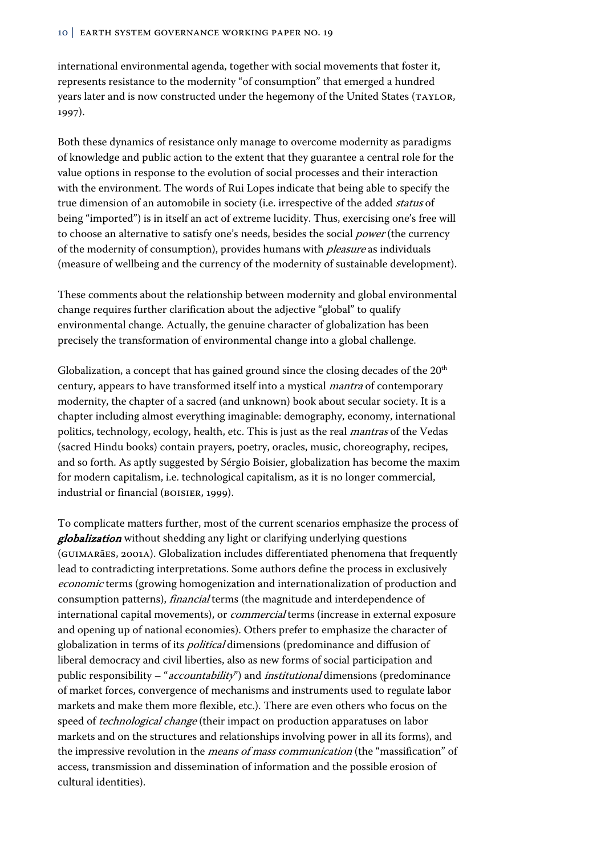international environmental agenda, together with social movements that foster it, represents resistance to the modernity "of consumption" that emerged a hundred years later and is now constructed under the hegemony of the United States (TAYLOR, 1997).

Both these dynamics of resistance only manage to overcome modernity as paradigms of knowledge and public action to the extent that they guarantee a central role for the value options in response to the evolution of social processes and their interaction with the environment. The words of Rui Lopes indicate that being able to specify the true dimension of an automobile in society (i.e. irrespective of the added *status* of being "imported") is in itself an act of extreme lucidity. Thus, exercising one's free will to choose an alternative to satisfy one's needs, besides the social power (the currency of the modernity of consumption), provides humans with *pleasure* as individuals (measure of wellbeing and the currency of the modernity of sustainable development).

These comments about the relationship between modernity and global environmental change requires further clarification about the adjective "global" to qualify environmental change. Actually, the genuine character of globalization has been precisely the transformation of environmental change into a global challenge.

Globalization, a concept that has gained ground since the closing decades of the  $20<sup>th</sup>$ century, appears to have transformed itself into a mystical mantra of contemporary modernity, the chapter of a sacred (and unknown) book about secular society. It is a chapter including almost everything imaginable: demography, economy, international politics, technology, ecology, health, etc. This is just as the real mantras of the Vedas (sacred Hindu books) contain prayers, poetry, oracles, music, choreography, recipes, and so forth. As aptly suggested by Sérgio Boisier, globalization has become the maxim for modern capitalism, i.e. technological capitalism, as it is no longer commercial, industrial or financial (BOISIER, 1999).

To complicate matters further, most of the current scenarios emphasize the process of globalization without shedding any light or clarifying underlying questions (Guimarães, 2001a). Globalization includes differentiated phenomena that frequently lead to contradicting interpretations. Some authors define the process in exclusively economic terms (growing homogenization and internationalization of production and consumption patterns), financial terms (the magnitude and interdependence of international capital movements), or *commercial* terms (increase in external exposure and opening up of national economies). Others prefer to emphasize the character of globalization in terms of its political dimensions (predominance and diffusion of liberal democracy and civil liberties, also as new forms of social participation and public responsibility – "*accountability*") and *institutional* dimensions (predominance of market forces, convergence of mechanisms and instruments used to regulate labor markets and make them more flexible, etc.). There are even others who focus on the speed of *technological change* (their impact on production apparatuses on labor markets and on the structures and relationships involving power in all its forms), and the impressive revolution in the *means of mass communication* (the "massification" of access, transmission and dissemination of information and the possible erosion of cultural identities).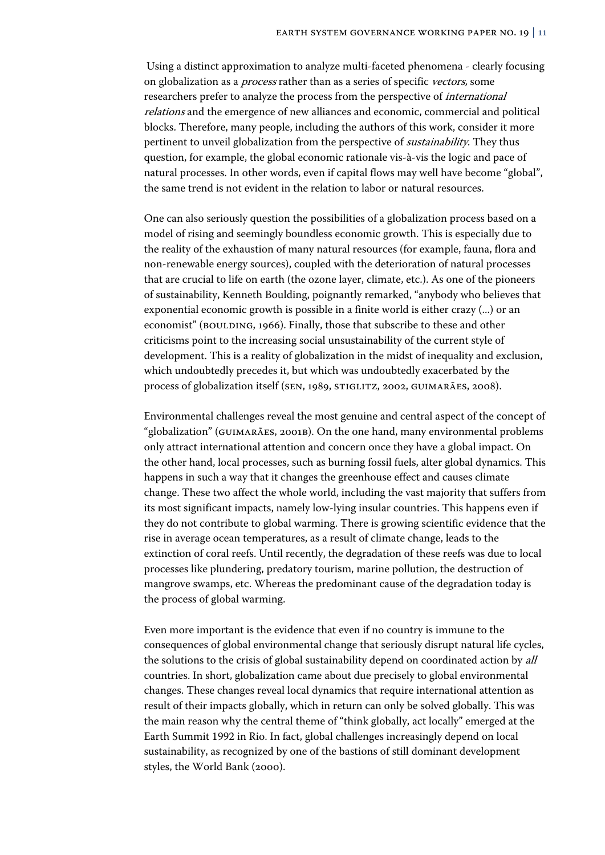Using a distinct approximation to analyze multi-faceted phenomena - clearly focusing on globalization as a *process* rather than as a series of specific vectors, some researchers prefer to analyze the process from the perspective of international relations and the emergence of new alliances and economic, commercial and political blocks. Therefore, many people, including the authors of this work, consider it more pertinent to unveil globalization from the perspective of sustainability. They thus question, for example, the global economic rationale vis-à-vis the logic and pace of natural processes. In other words, even if capital flows may well have become "global", the same trend is not evident in the relation to labor or natural resources.

One can also seriously question the possibilities of a globalization process based on a model of rising and seemingly boundless economic growth. This is especially due to the reality of the exhaustion of many natural resources (for example, fauna, flora and non-renewable energy sources), coupled with the deterioration of natural processes that are crucial to life on earth (the ozone layer, climate, etc.). As one of the pioneers of sustainability, Kenneth Boulding, poignantly remarked, "anybody who believes that exponential economic growth is possible in a finite world is either crazy (...) or an economist" (BOULDING, 1966). Finally, those that subscribe to these and other criticisms point to the increasing social unsustainability of the current style of development. This is a reality of globalization in the midst of inequality and exclusion, which undoubtedly precedes it, but which was undoubtedly exacerbated by the process of globalization itself (SEN, 1989, STIGLITZ, 2002, GUIMARÃES, 2008).

Environmental challenges reveal the most genuine and central aspect of the concept of "globalization" (GUIMARÃES, 2001b). On the one hand, many environmental problems only attract international attention and concern once they have a global impact. On the other hand, local processes, such as burning fossil fuels, alter global dynamics. This happens in such a way that it changes the greenhouse effect and causes climate change. These two affect the whole world, including the vast majority that suffers from its most significant impacts, namely low-lying insular countries. This happens even if they do not contribute to global warming. There is growing scientific evidence that the rise in average ocean temperatures, as a result of climate change, leads to the extinction of coral reefs. Until recently, the degradation of these reefs was due to local processes like plundering, predatory tourism, marine pollution, the destruction of mangrove swamps, etc. Whereas the predominant cause of the degradation today is the process of global warming.

Even more important is the evidence that even if no country is immune to the consequences of global environmental change that seriously disrupt natural life cycles, the solutions to the crisis of global sustainability depend on coordinated action by all countries. In short, globalization came about due precisely to global environmental changes. These changes reveal local dynamics that require international attention as result of their impacts globally, which in return can only be solved globally. This was the main reason why the central theme of "think globally, act locally" emerged at the Earth Summit 1992 in Rio. In fact, global challenges increasingly depend on local sustainability, as recognized by one of the bastions of still dominant development styles, the World Bank (2000).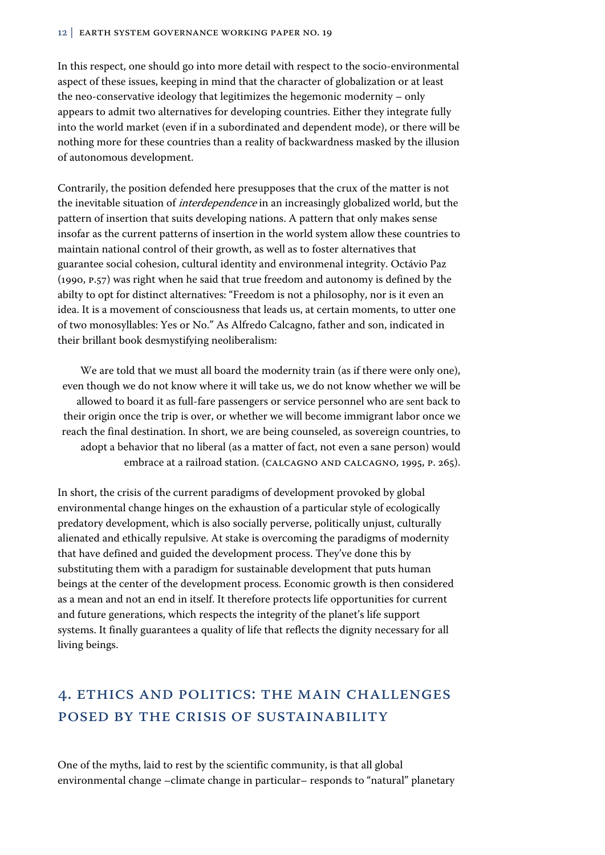In this respect, one should go into more detail with respect to the socio-environmental aspect of these issues, keeping in mind that the character of globalization or at least the neo-conservative ideology that legitimizes the hegemonic modernity – only appears to admit two alternatives for developing countries. Either they integrate fully into the world market (even if in a subordinated and dependent mode), or there will be nothing more for these countries than a reality of backwardness masked by the illusion of autonomous development.

Contrarily, the position defended here presupposes that the crux of the matter is not the inevitable situation of *interdependence* in an increasingly globalized world, but the pattern of insertion that suits developing nations. A pattern that only makes sense insofar as the current patterns of insertion in the world system allow these countries to maintain national control of their growth, as well as to foster alternatives that guarantee social cohesion, cultural identity and environmenal integrity. Octávio Paz (1990, p.57) was right when he said that true freedom and autonomy is defined by the abilty to opt for distinct alternatives: "Freedom is not a philosophy, nor is it even an idea. It is a movement of consciousness that leads us, at certain moments, to utter one of two monosyllables: Yes or No." As Alfredo Calcagno, father and son, indicated in their brillant book desmystifying neoliberalism:

We are told that we must all board the modernity train (as if there were only one), even though we do not know where it will take us, we do not know whether we will be allowed to board it as full-fare passengers or service personnel who are sent back to their origin once the trip is over, or whether we will become immigrant labor once we reach the final destination. In short, we are being counseled, as sovereign countries, to adopt a behavior that no liberal (as a matter of fact, not even a sane person) would embrace at a railroad station. (CALCAGNO AND CALCAGNO, 1995, P. 265).

In short, the crisis of the current paradigms of development provoked by global environmental change hinges on the exhaustion of a particular style of ecologically predatory development, which is also socially perverse, politically unjust, culturally alienated and ethically repulsive. At stake is overcoming the paradigms of modernity that have defined and guided the development process. They've done this by substituting them with a paradigm for sustainable development that puts human beings at the center of the development process. Economic growth is then considered as a mean and not an end in itself. It therefore protects life opportunities for current and future generations, which respects the integrity of the planet's life support systems. It finally guarantees a quality of life that reflects the dignity necessary for all living beings.

# 4. ETHICS AND POLITICS: THE MAIN CHALLENGES POSED BY THE CRISIS OF SUSTAINABILITY

One of the myths, laid to rest by the scientific community, is that all global environmental change –climate change in particular– responds to "natural" planetary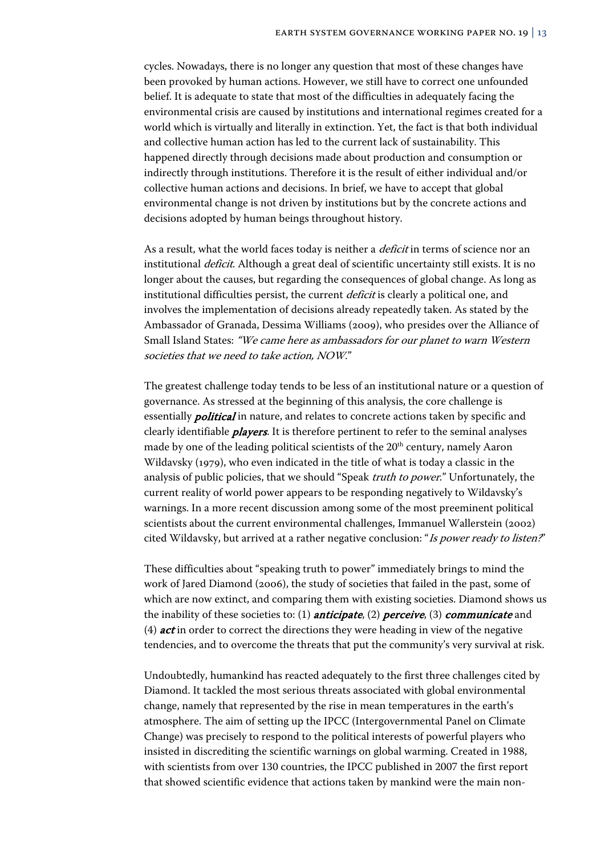cycles. Nowadays, there is no longer any question that most of these changes have been provoked by human actions. However, we still have to correct one unfounded belief. It is adequate to state that most of the difficulties in adequately facing the environmental crisis are caused by institutions and international regimes created for a world which is virtually and literally in extinction. Yet, the fact is that both individual and collective human action has led to the current lack of sustainability. This happened directly through decisions made about production and consumption or indirectly through institutions. Therefore it is the result of either individual and/or collective human actions and decisions. In brief, we have to accept that global environmental change is not driven by institutions but by the concrete actions and decisions adopted by human beings throughout history.

As a result, what the world faces today is neither a *deficit* in terms of science nor an institutional *deficit*. Although a great deal of scientific uncertainty still exists. It is no longer about the causes, but regarding the consequences of global change. As long as institutional difficulties persist, the current deficit is clearly a political one, and involves the implementation of decisions already repeatedly taken. As stated by the Ambassador of Granada, Dessima Williams (2009), who presides over the Alliance of Small Island States: "We came here as ambassadors for our planet to warn Western societies that we need to take action, NOW."

The greatest challenge today tends to be less of an institutional nature or a question of governance. As stressed at the beginning of this analysis, the core challenge is essentially *political* in nature, and relates to concrete actions taken by specific and clearly identifiable *players*. It is therefore pertinent to refer to the seminal analyses made by one of the leading political scientists of the 20<sup>th</sup> century, namely Aaron Wildavsky (1979), who even indicated in the title of what is today a classic in the analysis of public policies, that we should "Speak truth to power." Unfortunately, the current reality of world power appears to be responding negatively to Wildavsky's warnings. In a more recent discussion among some of the most preeminent political scientists about the current environmental challenges, Immanuel Wallerstein (2002) cited Wildavsky, but arrived at a rather negative conclusion: "Is power ready to listen?"

These difficulties about "speaking truth to power" immediately brings to mind the work of Jared Diamond (2006), the study of societies that failed in the past, some of which are now extinct, and comparing them with existing societies. Diamond shows us the inability of these societies to: (1) *anticipate*, (2) *perceive*, (3) *communicate* and (4)  $act$  in order to correct the directions they were heading in view of the negative tendencies, and to overcome the threats that put the community's very survival at risk.

Undoubtedly, humankind has reacted adequately to the first three challenges cited by Diamond. It tackled the most serious threats associated with global environmental change, namely that represented by the rise in mean temperatures in the earth's atmosphere. The aim of setting up the IPCC (Intergovernmental Panel on Climate Change) was precisely to respond to the political interests of powerful players who insisted in discrediting the scientific warnings on global warming. Created in 1988, with scientists from over 130 countries, the IPCC published in 2007 the first report that showed scientific evidence that actions taken by mankind were the main non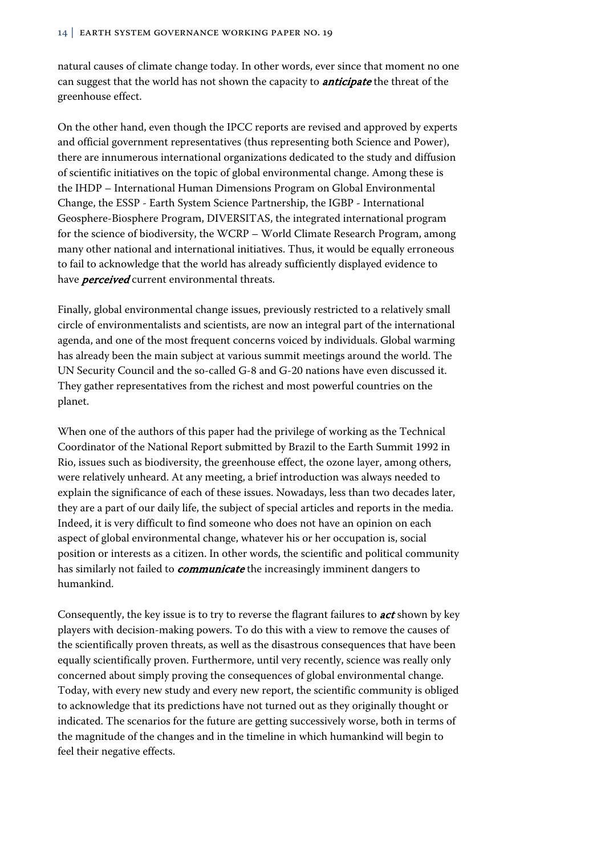natural causes of climate change today. In other words, ever since that moment no one can suggest that the world has not shown the capacity to *anticipate* the threat of the greenhouse effect.

On the other hand, even though the IPCC reports are revised and approved by experts and official government representatives (thus representing both Science and Power), there are innumerous international organizations dedicated to the study and diffusion of scientific initiatives on the topic of global environmental change. Among these is the IHDP – International Human Dimensions Program on Global Environmental Change, the ESSP - Earth System Science Partnership, the IGBP - International Geosphere-Biosphere Program, DIVERSITAS, the integrated international program for the science of biodiversity, the WCRP – World Climate Research Program, among many other national and international initiatives. Thus, it would be equally erroneous to fail to acknowledge that the world has already sufficiently displayed evidence to have **perceived** current environmental threats.

Finally, global environmental change issues, previously restricted to a relatively small circle of environmentalists and scientists, are now an integral part of the international agenda, and one of the most frequent concerns voiced by individuals. Global warming has already been the main subject at various summit meetings around the world. The UN Security Council and the so-called G-8 and G-20 nations have even discussed it. They gather representatives from the richest and most powerful countries on the planet.

When one of the authors of this paper had the privilege of working as the Technical Coordinator of the National Report submitted by Brazil to the Earth Summit 1992 in Rio, issues such as biodiversity, the greenhouse effect, the ozone layer, among others, were relatively unheard. At any meeting, a brief introduction was always needed to explain the significance of each of these issues. Nowadays, less than two decades later, they are a part of our daily life, the subject of special articles and reports in the media. Indeed, it is very difficult to find someone who does not have an opinion on each aspect of global environmental change, whatever his or her occupation is, social position or interests as a citizen. In other words, the scientific and political community has similarly not failed to *communicate* the increasingly imminent dangers to humankind.

Consequently, the key issue is to try to reverse the flagrant failures to **act** shown by key players with decision-making powers. To do this with a view to remove the causes of the scientifically proven threats, as well as the disastrous consequences that have been equally scientifically proven. Furthermore, until very recently, science was really only concerned about simply proving the consequences of global environmental change. Today, with every new study and every new report, the scientific community is obliged to acknowledge that its predictions have not turned out as they originally thought or indicated. The scenarios for the future are getting successively worse, both in terms of the magnitude of the changes and in the timeline in which humankind will begin to feel their negative effects.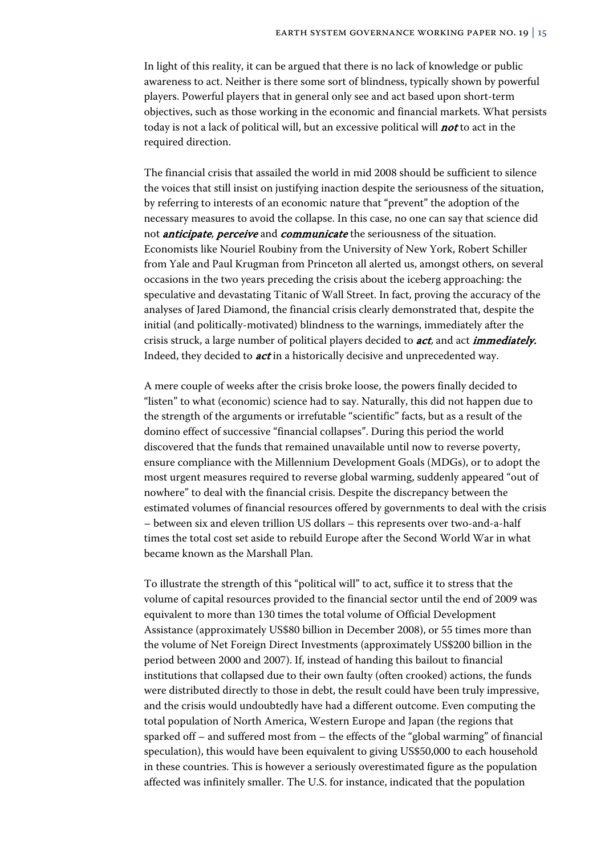In light of this reality, it can be argued that there is no lack of knowledge or public awareness to act. Neither is there some sort of blindness, typically shown by powerful players. Powerful players that in general only see and act based upon short-term objectives, such as those working in the economic and financial markets. What persists today is not a lack of political will, but an excessive political will  $not$  to act in the required direction.

The financial crisis that assailed the world in mid 2008 should be sufficient to silence the voices that still insist on justifying inaction despite the seriousness of the situation, by referring to interests of an economic nature that "prevent" the adoption of the necessary measures to avoid the collapse. In this case, no one can say that science did not *anticipate, perceive* and *communicate* the seriousness of the situation. Economists like Nouriel Roubiny from the University of New York, Robert Schiller from Yale and Paul Krugman from Princeton all alerted us, amongst others, on several occasions in the two years preceding the crisis about the iceberg approaching: the speculative and devastating Titanic of Wall Street. In fact, proving the accuracy of the analyses of Jared Diamond, the financial crisis clearly demonstrated that, despite the initial (and politically-motivated) blindness to the warnings, immediately after the crisis struck, a large number of political players decided to **act**, and act *immediately*. Indeed, they decided to *act* in a historically decisive and unprecedented way.

A mere couple of weeks after the crisis broke loose, the powers finally decided to "listen" to what (economic) science had to say. Naturally, this did not happen due to the strength of the arguments or irrefutable "scientific" facts, but as a result of the domino effect of successive "financial collapses". During this period the world discovered that the funds that remained unavailable until now to reverse poverty, ensure compliance with the Millennium Development Goals (MDGs), or to adopt the most urgent measures required to reverse global warming, suddenly appeared "out of nowhere" to deal with the financial crisis. Despite the discrepancy between the estimated volumes of financial resources offered by governments to deal with the crisis – between six and eleven trillion US dollars – this represents over two-and-a-half times the total cost set aside to rebuild Europe after the Second World War in what became known as the Marshall Plan.

To illustrate the strength of this "political will" to act, suffice it to stress that the volume of capital resources provided to the financial sector until the end of 2009 was equivalent to more than 130 times the total volume of Official Development Assistance (approximately US\$80 billion in December 2008), or 55 times more than the volume of Net Foreign Direct Investments (approximately US\$200 billion in the period between 2000 and 2007). If, instead of handing this bailout to financial institutions that collapsed due to their own faulty (often crooked) actions, the funds were distributed directly to those in debt, the result could have been truly impressive, and the crisis would undoubtedly have had a different outcome. Even computing the total population of North America, Western Europe and Japan (the regions that sparked off – and suffered most from – the effects of the "global warming" of financial speculation), this would have been equivalent to giving US\$50,000 to each household in these countries. This is however a seriously overestimated figure as the population affected was infinitely smaller. The U.S. for instance, indicated that the population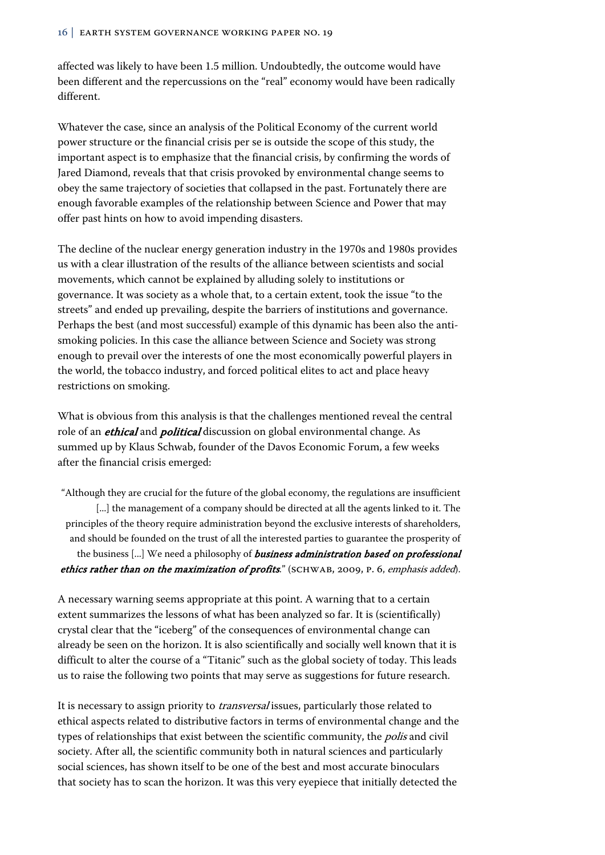affected was likely to have been 1.5 million. Undoubtedly, the outcome would have been different and the repercussions on the "real" economy would have been radically different.

Whatever the case, since an analysis of the Political Economy of the current world power structure or the financial crisis per se is outside the scope of this study, the important aspect is to emphasize that the financial crisis, by confirming the words of Jared Diamond, reveals that that crisis provoked by environmental change seems to obey the same trajectory of societies that collapsed in the past. Fortunately there are enough favorable examples of the relationship between Science and Power that may offer past hints on how to avoid impending disasters.

The decline of the nuclear energy generation industry in the 1970s and 1980s provides us with a clear illustration of the results of the alliance between scientists and social movements, which cannot be explained by alluding solely to institutions or governance. It was society as a whole that, to a certain extent, took the issue "to the streets" and ended up prevailing, despite the barriers of institutions and governance. Perhaps the best (and most successful) example of this dynamic has been also the antismoking policies. In this case the alliance between Science and Society was strong enough to prevail over the interests of one the most economically powerful players in the world, the tobacco industry, and forced political elites to act and place heavy restrictions on smoking.

What is obvious from this analysis is that the challenges mentioned reveal the central role of an *ethical* and *political* discussion on global environmental change. As summed up by Klaus Schwab, founder of the Davos Economic Forum, a few weeks after the financial crisis emerged:

"Although they are crucial for the future of the global economy, the regulations are insufficient [...] the management of a company should be directed at all the agents linked to it. The principles of the theory require administration beyond the exclusive interests of shareholders, and should be founded on the trust of all the interested parties to guarantee the prosperity of the business [...] We need a philosophy of **business administration based on professional** ethics rather than on the maximization of profits." (SCHWAB, 2009, P. 6, emphasis added).

A necessary warning seems appropriate at this point. A warning that to a certain extent summarizes the lessons of what has been analyzed so far. It is (scientifically) crystal clear that the "iceberg" of the consequences of environmental change can already be seen on the horizon. It is also scientifically and socially well known that it is difficult to alter the course of a "Titanic" such as the global society of today. This leads us to raise the following two points that may serve as suggestions for future research.

It is necessary to assign priority to *transversal* issues, particularly those related to ethical aspects related to distributive factors in terms of environmental change and the types of relationships that exist between the scientific community, the *polis* and civil society. After all, the scientific community both in natural sciences and particularly social sciences, has shown itself to be one of the best and most accurate binoculars that society has to scan the horizon. It was this very eyepiece that initially detected the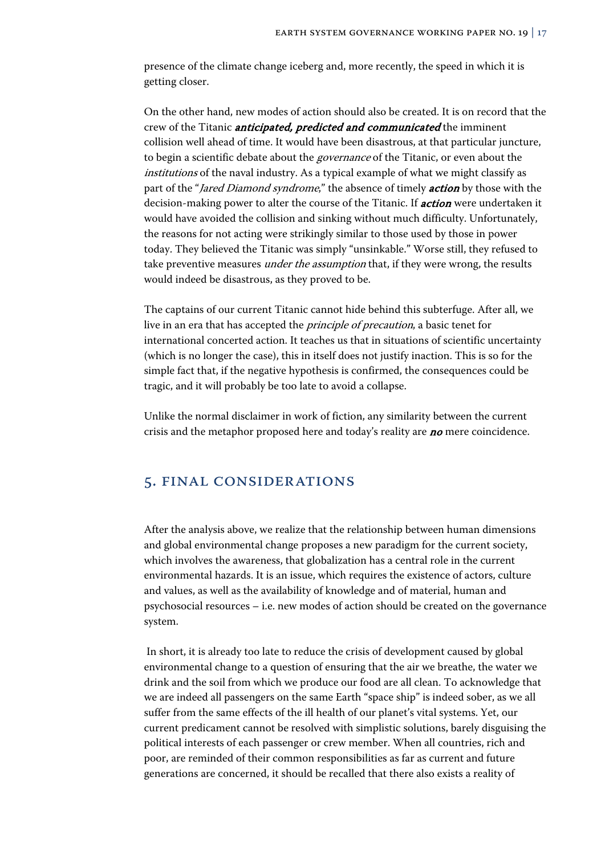presence of the climate change iceberg and, more recently, the speed in which it is getting closer.

On the other hand, new modes of action should also be created. It is on record that the crew of the Titanic *anticipated, predicted and communicated* the imminent collision well ahead of time. It would have been disastrous, at that particular juncture, to begin a scientific debate about the *governance* of the Titanic, or even about the institutions of the naval industry. As a typical example of what we might classify as part of the "Jared Diamond syndrome," the absence of timely **action** by those with the decision-making power to alter the course of the Titanic. If **action** were undertaken it would have avoided the collision and sinking without much difficulty. Unfortunately, the reasons for not acting were strikingly similar to those used by those in power today. They believed the Titanic was simply "unsinkable." Worse still, they refused to take preventive measures *under the assumption* that, if they were wrong, the results would indeed be disastrous, as they proved to be.

The captains of our current Titanic cannot hide behind this subterfuge. After all, we live in an era that has accepted the principle of precaution, a basic tenet for international concerted action. It teaches us that in situations of scientific uncertainty (which is no longer the case), this in itself does not justify inaction. This is so for the simple fact that, if the negative hypothesis is confirmed, the consequences could be tragic, and it will probably be too late to avoid a collapse.

Unlike the normal disclaimer in work of fiction, any similarity between the current crisis and the metaphor proposed here and today's reality are  $no$  mere coincidence.

## 5. FINAL CONSIDERATIONS

After the analysis above, we realize that the relationship between human dimensions and global environmental change proposes a new paradigm for the current society, which involves the awareness, that globalization has a central role in the current environmental hazards. It is an issue, which requires the existence of actors, culture and values, as well as the availability of knowledge and of material, human and psychosocial resources – i.e. new modes of action should be created on the governance system.

 In short, it is already too late to reduce the crisis of development caused by global environmental change to a question of ensuring that the air we breathe, the water we drink and the soil from which we produce our food are all clean. To acknowledge that we are indeed all passengers on the same Earth "space ship" is indeed sober, as we all suffer from the same effects of the ill health of our planet's vital systems. Yet, our current predicament cannot be resolved with simplistic solutions, barely disguising the political interests of each passenger or crew member. When all countries, rich and poor, are reminded of their common responsibilities as far as current and future generations are concerned, it should be recalled that there also exists a reality of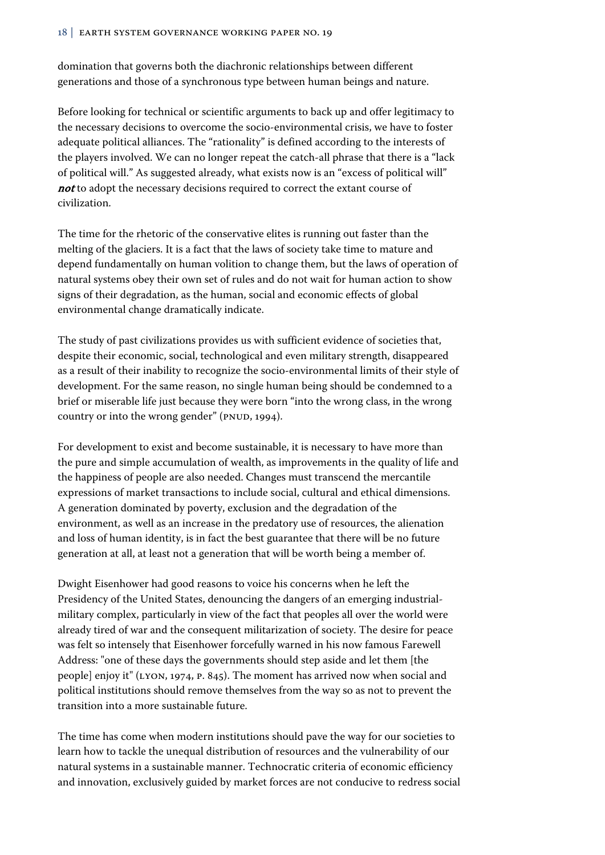domination that governs both the diachronic relationships between different generations and those of a synchronous type between human beings and nature.

Before looking for technical or scientific arguments to back up and offer legitimacy to the necessary decisions to overcome the socio-environmental crisis, we have to foster adequate political alliances. The "rationality" is defined according to the interests of the players involved. We can no longer repeat the catch-all phrase that there is a "lack of political will." As suggested already, what exists now is an "excess of political will" not to adopt the necessary decisions required to correct the extant course of civilization.

The time for the rhetoric of the conservative elites is running out faster than the melting of the glaciers. It is a fact that the laws of society take time to mature and depend fundamentally on human volition to change them, but the laws of operation of natural systems obey their own set of rules and do not wait for human action to show signs of their degradation, as the human, social and economic effects of global environmental change dramatically indicate.

The study of past civilizations provides us with sufficient evidence of societies that, despite their economic, social, technological and even military strength, disappeared as a result of their inability to recognize the socio-environmental limits of their style of development. For the same reason, no single human being should be condemned to a brief or miserable life just because they were born "into the wrong class, in the wrong country or into the wrong gender" (PNUD, 1994).

For development to exist and become sustainable, it is necessary to have more than the pure and simple accumulation of wealth, as improvements in the quality of life and the happiness of people are also needed. Changes must transcend the mercantile expressions of market transactions to include social, cultural and ethical dimensions. A generation dominated by poverty, exclusion and the degradation of the environment, as well as an increase in the predatory use of resources, the alienation and loss of human identity, is in fact the best guarantee that there will be no future generation at all, at least not a generation that will be worth being a member of.

Dwight Eisenhower had good reasons to voice his concerns when he left the Presidency of the United States, denouncing the dangers of an emerging industrialmilitary complex, particularly in view of the fact that peoples all over the world were already tired of war and the consequent militarization of society. The desire for peace was felt so intensely that Eisenhower forcefully warned in his now famous Farewell Address: "one of these days the governments should step aside and let them [the people] enjoy it" (LYON, 1974, p. 845). The moment has arrived now when social and political institutions should remove themselves from the way so as not to prevent the transition into a more sustainable future.

The time has come when modern institutions should pave the way for our societies to learn how to tackle the unequal distribution of resources and the vulnerability of our natural systems in a sustainable manner. Technocratic criteria of economic efficiency and innovation, exclusively guided by market forces are not conducive to redress social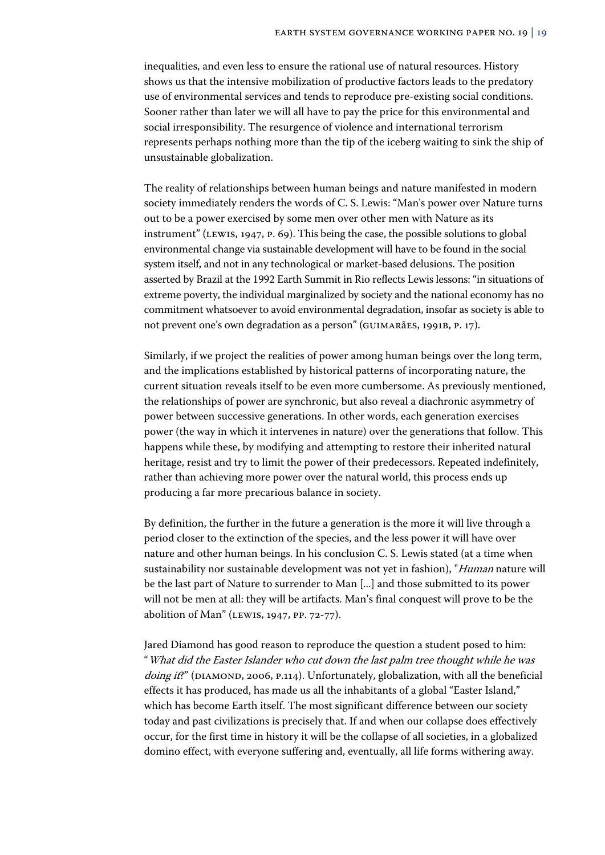inequalities, and even less to ensure the rational use of natural resources. History shows us that the intensive mobilization of productive factors leads to the predatory use of environmental services and tends to reproduce pre-existing social conditions. Sooner rather than later we will all have to pay the price for this environmental and social irresponsibility. The resurgence of violence and international terrorism represents perhaps nothing more than the tip of the iceberg waiting to sink the ship of unsustainable globalization.

The reality of relationships between human beings and nature manifested in modern society immediately renders the words of C. S. Lewis: "Man's power over Nature turns out to be a power exercised by some men over other men with Nature as its instrument" (Lewis, 1947, p. 69). This being the case, the possible solutions to global environmental change via sustainable development will have to be found in the social system itself, and not in any technological or market-based delusions. The position asserted by Brazil at the 1992 Earth Summit in Rio reflects Lewis lessons: "in situations of extreme poverty, the individual marginalized by society and the national economy has no commitment whatsoever to avoid environmental degradation, insofar as society is able to not prevent one's own degradation as a person" (Guimarães, 1991b, p. 17).

Similarly, if we project the realities of power among human beings over the long term, and the implications established by historical patterns of incorporating nature, the current situation reveals itself to be even more cumbersome. As previously mentioned, the relationships of power are synchronic, but also reveal a diachronic asymmetry of power between successive generations. In other words, each generation exercises power (the way in which it intervenes in nature) over the generations that follow. This happens while these, by modifying and attempting to restore their inherited natural heritage, resist and try to limit the power of their predecessors. Repeated indefinitely, rather than achieving more power over the natural world, this process ends up producing a far more precarious balance in society.

By definition, the further in the future a generation is the more it will live through a period closer to the extinction of the species, and the less power it will have over nature and other human beings. In his conclusion C. S. Lewis stated (at a time when sustainability nor sustainable development was not yet in fashion), "Human nature will be the last part of Nature to surrender to Man [...] and those submitted to its power will not be men at all: they will be artifacts. Man's final conquest will prove to be the abolition of Man" (Lewis, 1947, pp. 72-77).

Jared Diamond has good reason to reproduce the question a student posed to him: "What did the Easter Islander who cut down the last palm tree thought while he was *doing it*?" (DIAMOND, 2006, P.114). Unfortunately, globalization, with all the beneficial effects it has produced, has made us all the inhabitants of a global "Easter Island," which has become Earth itself. The most significant difference between our society today and past civilizations is precisely that. If and when our collapse does effectively occur, for the first time in history it will be the collapse of all societies, in a globalized domino effect, with everyone suffering and, eventually, all life forms withering away.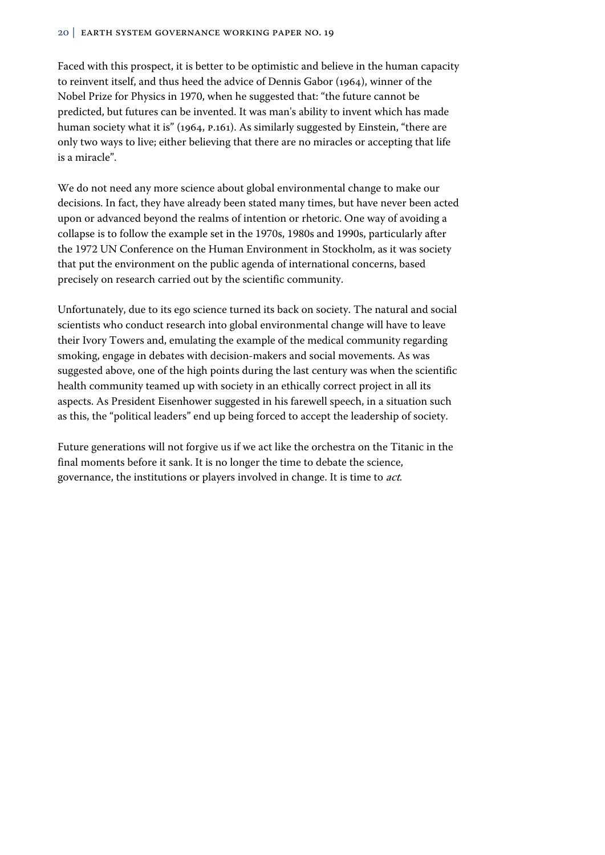Faced with this prospect, it is better to be optimistic and believe in the human capacity to reinvent itself, and thus heed the advice of Dennis Gabor (1964), winner of the Nobel Prize for Physics in 1970, when he suggested that: "the future cannot be predicted, but futures can be invented. It was man's ability to invent which has made human society what it is" (1964, p.161). As similarly suggested by Einstein, "there are only two ways to live; either believing that there are no miracles or accepting that life is a miracle".

We do not need any more science about global environmental change to make our decisions. In fact, they have already been stated many times, but have never been acted upon or advanced beyond the realms of intention or rhetoric. One way of avoiding a collapse is to follow the example set in the 1970s, 1980s and 1990s, particularly after the 1972 UN Conference on the Human Environment in Stockholm, as it was society that put the environment on the public agenda of international concerns, based precisely on research carried out by the scientific community.

Unfortunately, due to its ego science turned its back on society. The natural and social scientists who conduct research into global environmental change will have to leave their Ivory Towers and, emulating the example of the medical community regarding smoking, engage in debates with decision-makers and social movements. As was suggested above, one of the high points during the last century was when the scientific health community teamed up with society in an ethically correct project in all its aspects. As President Eisenhower suggested in his farewell speech, in a situation such as this, the "political leaders" end up being forced to accept the leadership of society.

Future generations will not forgive us if we act like the orchestra on the Titanic in the final moments before it sank. It is no longer the time to debate the science, governance, the institutions or players involved in change. It is time to act.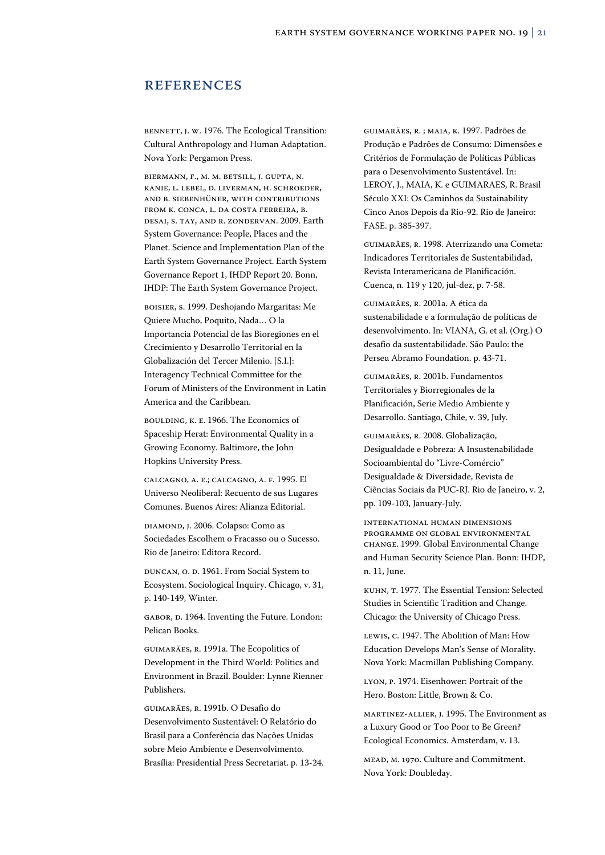### **REFERENCES**

BENNETT, J. W. 1976. The Ecological Transition: Cultural Anthropology and Human Adaptation. Nova York: Pergamon Press.

Biermann, F., M. M. Betsill, J. Gupta, N. Kanie, L. Lebel, D. Liverman, H. Schroeder, and B. Siebenhüner, with contributions from K. Conca, L. da Costa Ferreira, B. Desai, S. Tay, and R. Zondervan. 2009. Earth System Governance: People, Places and the Planet. Science and Implementation Plan of the Earth System Governance Project. Earth System Governance Report 1, IHDP Report 20. Bonn, IHDP: The Earth System Governance Project.

BOISIER, S. 1999. Deshojando Margaritas: Me Quiere Mucho, Poquito, Nada… O la Importancia Potencial de las Bioregiones en el Crecimiento y Desarrollo Territorial en la Globalización del Tercer Milenio. [S.I.]: Interagency Technical Committee for the Forum of Ministers of the Environment in Latin America and the Caribbean.

BOULDING, k. E. 1966. The Economics of Spaceship Herat: Environmental Quality in a Growing Economy. Baltimore, the John Hopkins University Press.

CALCAGNO, A. E.; CALCAGNO, A. F. 1995. El Universo Neoliberal: Recuento de sus Lugares Comunes. Buenos Aires: Alianza Editorial.

DIAMOND, J. 2006. Colapso: Como as Sociedades Escolhem o Fracasso ou o Sucesso. Rio de Janeiro: Editora Record.

DUNCAN, O. D. 1961. From Social System to Ecosystem. Sociological Inquiry. Chicago, v. 31, p. 140-149, Winter.

GABOR, D. 1964. Inventing the Future. London: Pelican Books.

GUIMARÃES, R. 1991a. The Ecopolitics of Development in the Third World: Politics and Environment in Brazil. Boulder: Lynne Rienner Publishers.

GUIMARÃES, R. 1991b. O Desafio do Desenvolvimento Sustentável: O Relatório do Brasil para a Conferência das Nações Unidas sobre Meio Ambiente e Desenvolvimento. Brasília: Presidential Press Secretariat. p. 13-24.

GUIMARÃES, R. ; MAIA, K. 1997. Padrões de Produção e Padrões de Consumo: Dimensões e Critérios de Formulação de Políticas Públicas para o Desenvolvimento Sustentável. In: LEROY, J., MAIA, K. e GUIMARAES, R. Brasil Século XXI: Os Caminhos da Sustainability Cinco Anos Depois da Rio-92. Rio de Janeiro: FASE. p. 385-397.

GUIMARÃES, R. 1998. Aterrizando una Cometa: Indicadores Territoriales de Sustentabilidad, Revista Interamericana de Planificación. Cuenca, n. 119 y 120, jul-dez, p. 7-58.

GUIMARÃES, R. 2001a. A ética da sustenabilidade e a formulação de políticas de desenvolvimento. In: VIANA, G. et al. (Org.) O desafio da sustentabilidade. São Paulo: the Perseu Abramo Foundation. p. 43-71.

GUIMARÃES, R. 2001b. Fundamentos Territoriales y Biorregionales de la Planificación, Serie Medio Ambiente y Desarrollo. Santiago, Chile, v. 39, July.

GUIMARÃES, R. 2008. Globalização, Desigualdade e Pobreza: A Insustenabilidade Socioambiental do "Livre-Comércio" Desigualdade & Diversidade, Revista de Ciências Sociais da PUC-RJ. Rio de Janeiro, v. 2, pp. 109-103, January-July.

INTERNATIONAL HUMAN DIMENSIONS PROGRAMME ON GLOBAL ENVIRONMENTAL CHANGE. 1999. Global Environmental Change and Human Security Science Plan. Bonn: IHDP, n. 11, June.

KUHN, T. 1977. The Essential Tension: Selected Studies in Scientific Tradition and Change. Chicago: the University of Chicago Press.

LEWIS, C. 1947. The Abolition of Man: How Education Develops Man's Sense of Morality. Nova York: Macmillan Publishing Company.

LYON, P. 1974. Eisenhower: Portrait of the Hero. Boston: Little, Brown & Co.

MARTINEZ-ALLIER, J. 1995. The Environment as a Luxury Good or Too Poor to Be Green? Ecological Economics. Amsterdam, v. 13.

MEAD, M. 1970. Culture and Commitment. Nova York: Doubleday.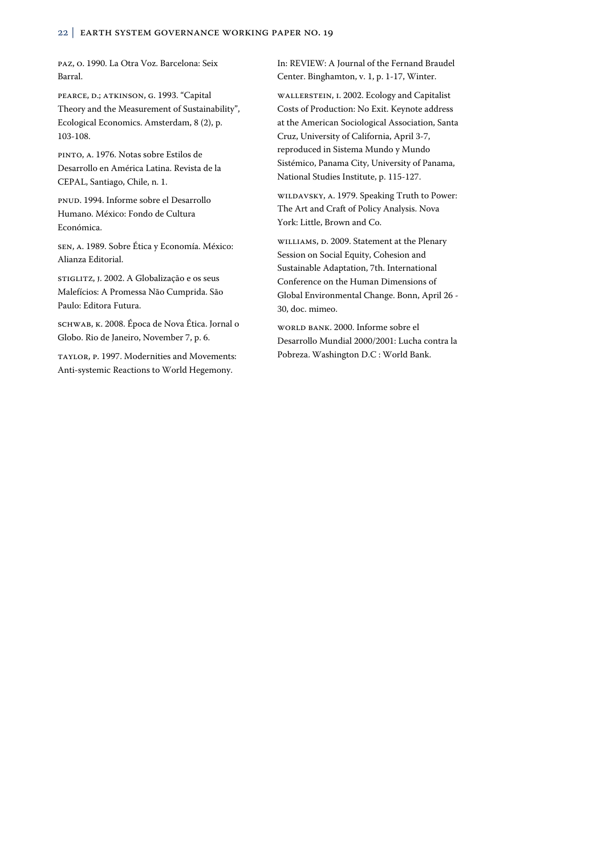PAZ, O. 1990. La Otra Voz. Barcelona: Seix Barral.

PEARCE, D.; ATKINSON, G. 1993. "Capital Theory and the Measurement of Sustainability", Ecological Economics. Amsterdam, 8 (2), p. 103-108.

PINTO, A. 1976. Notas sobre Estilos de Desarrollo en América Latina. Revista de la CEPAL, Santiago, Chile, n. 1.

PNUD. 1994. Informe sobre el Desarrollo Humano. México: Fondo de Cultura Económica.

SEN, A. 1989. Sobre Ética y Economía. México: Alianza Editorial.

STIGLITZ, J. 2002. A Globalização e os seus Malefícios: A Promessa Não Cumprida. São Paulo: Editora Futura.

SCHWAB, K. 2008. Época de Nova Ética. Jornal o Globo. Rio de Janeiro, November 7, p. 6.

TAYLOR, P. 1997. Modernities and Movements: Anti-systemic Reactions to World Hegemony.

In: REVIEW: A Journal of the Fernand Braudel Center. Binghamton, v. 1, p. 1-17, Winter.

WALLERSTEIN, I. 2002. Ecology and Capitalist Costs of Production: No Exit. Keynote address at the American Sociological Association, Santa Cruz, University of California, April 3-7, reproduced in Sistema Mundo y Mundo Sistémico, Panama City, University of Panama, National Studies Institute, p. 115-127.

WILDAVSKY, A. 1979. Speaking Truth to Power: The Art and Craft of Policy Analysis. Nova York: Little, Brown and Co.

WILLIAMS, D. 2009. Statement at the Plenary Session on Social Equity, Cohesion and Sustainable Adaptation, 7th. International Conference on the Human Dimensions of Global Environmental Change. Bonn, April 26 - 30, doc. mimeo.

WORLD BANK. 2000. Informe sobre el Desarrollo Mundial 2000/2001: Lucha contra la Pobreza. Washington D.C : World Bank.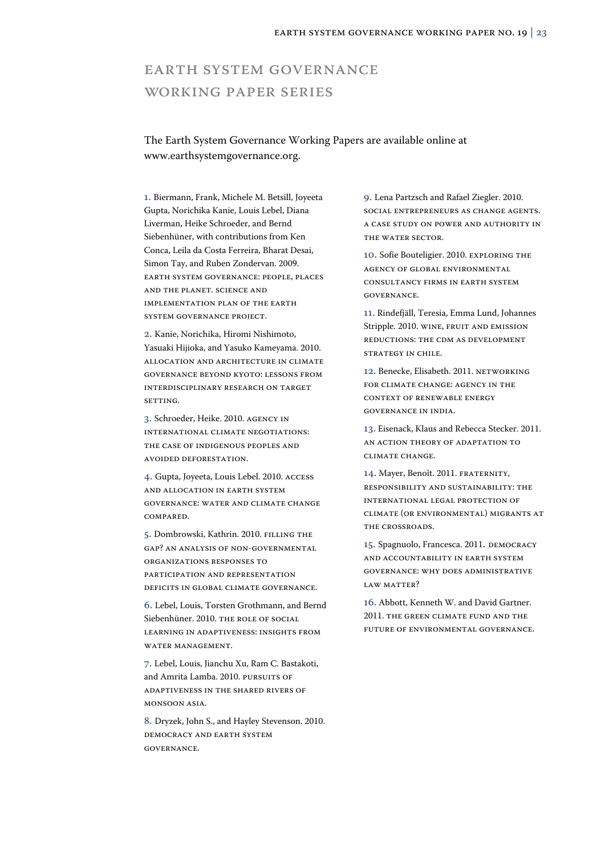# Earth System Governance Working Paper Series

## The Earth System Governance Working Papers are available online at www.earthsystemgovernance.org.

1. Biermann, Frank, Michele M. Betsill, Joyeeta Gupta, Norichika Kanie, Louis Lebel, Diana Liverman, Heike Schroeder, and Bernd Siebenhüner, with contributions from Ken Conca, Leila da Costa Ferreira, Bharat Desai, Simon Tay, and Ruben Zondervan. 2009. Earth System Governance: People, Places and the Planet. Science and Implementation Plan of the Earth System Governance Project.

2. Kanie, Norichika, Hiromi Nishimoto, Yasuaki Hijioka, and Yasuko Kameyama. 2010. Allocation and architecture in climate governance beyond Kyoto: lessons from interdisciplinary research on target **SETTING** 

3. Schroeder, Heike. 2010. Agency in international climate negotiations: the case of indigenous peoples and avoided deforestation.

4. Gupta, Joyeeta, Louis Lebel. 2010. Access and allocation in earth system governance: water and climate change compared.

5. Dombrowski, Kathrin. 2010. FILLING THE gap? An analysis of non-governmental organizations responses to participation and representation deficits in global climate governance.

6. Lebel, Louis, Torsten Grothmann, and Bernd Siebenhüner. 2010. THE ROLE OF SOCIAL learning in adaptiveness: insights from WATER MANAGEMENT.

7. Lebel, Louis, Jianchu Xu, Ram C. Bastakoti, and Amrita Lamba. 2010. PURSUITS OF adaptiveness in the shared rivers of Monsoon Asia.

8. Dryzek, John S., and Hayley Stevenson. 2010. Democracy and Earth System Governance.

9. Lena Partzsch and Rafael Ziegler. 2010. Social Entrepreneurs as Change Agents. A Case Study on Power and Authority in the Water Sector.

10. Sofie Bouteligier. 2010. Exploring the agency of global environmental consultancy firms in earth system governance.

11. Rindefjäll, Teresia, Emma Lund, Johannes Stripple. 2010. Wine, fruit and emission reductions: the CDM as development STRATEGY IN CHILE.

12. Benecke, Elisabeth. 2011. Networking for Climate Change: Agency in the Context of Renewable Energy Governance in India.

13. Eisenack, Klaus and Rebecca Stecker. 2011. An Action Theory of Adaptation to Climate Change.

14. Mayer, Benoît. 2011. Fraternity, Responsibility and Sustainability: The International Legal Protection of Climate (or Environmental) Migrants at the Crossroads.

15. Spagnuolo, Francesca. 2011. Democracy and Accountability in Earth System Governance: Why Does Administrative LAW MATTER?

16. Abbott, Kenneth W. and David Gartner. 2011. The Green Climate Fund and the Future of Environmental Governance.